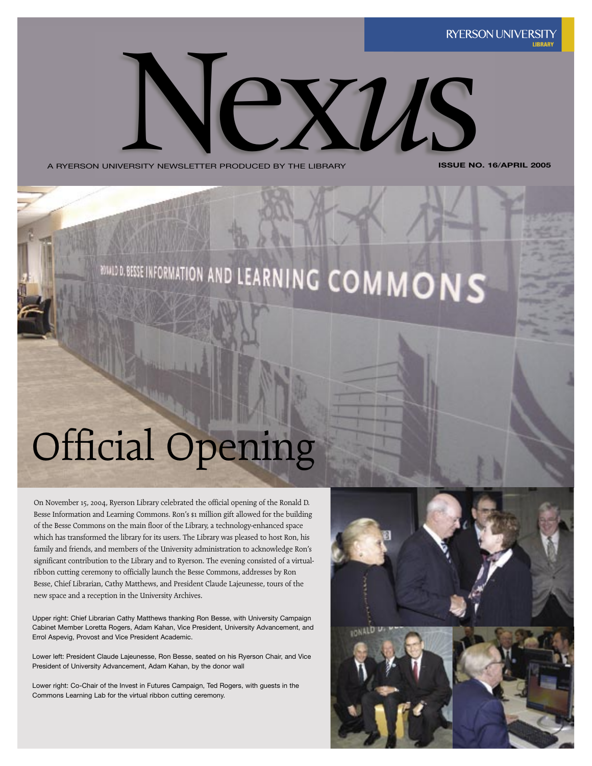

A RYERSON UNIVERSITY NEWSLETTER PRODUCED BY THE LIBRARY

**ISSUE NO. 16**/**APRIL 2005**

# **BULD D. BESSE INFORMATION AND LEARNING COMMONS**

## Official Opening

On November 15, 2004, Ryerson Library celebrated the official opening of the Ronald D. Besse Information and Learning Commons. Ron's \$1 million gift allowed for the building of the Besse Commons on the main floor of the Library, a technology-enhanced space which has transformed the library for its users. The Library was pleased to host Ron, his family and friends, and members of the University administration to acknowledge Ron's significant contribution to the Library and to Ryerson. The evening consisted of a virtualribbon cutting ceremony to officially launch the Besse Commons, addresses by Ron Besse, Chief Librarian, Cathy Matthews, and President Claude Lajeunesse, tours of the new space and a reception in the University Archives.

Upper right: Chief Librarian Cathy Matthews thanking Ron Besse, with University Campaign Cabinet Member Loretta Rogers, Adam Kahan, Vice President, University Advancement, and Errol Aspevig, Provost and Vice President Academic.

Lower left: President Claude Lajeunesse, Ron Besse, seated on his Ryerson Chair, and Vice President of University Advancement, Adam Kahan, by the donor wall

Lower right: Co-Chair of the Invest in Futures Campaign, Ted Rogers, with guests in the Commons Learning Lab for the virtual ribbon cutting ceremony.

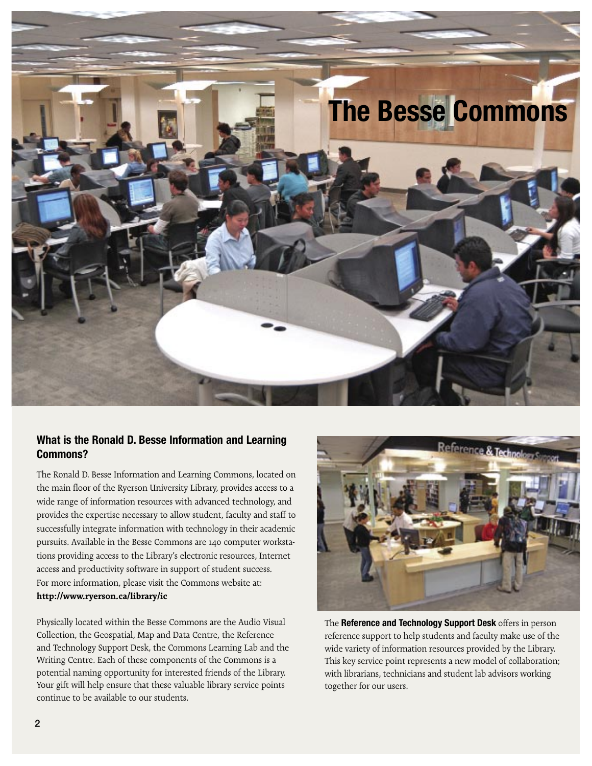

#### **What is the Ronald D. Besse Information and Learning Commons?**

The Ronald D. Besse Information and Learning Commons, located on the main floor of the Ryerson University Library, provides access to a wide range of information resources with advanced technology, and provides the expertise necessary to allow student, faculty and staff to successfully integrate information with technology in their academic pursuits. Available in the Besse Commons are 140 computer workstations providing access to the Library's electronic resources, Internet access and productivity software in support of student success. For more information, please visit the Commons website at: **http://www.ryerson.ca/library/ic**

Physically located within the Besse Commons are the Audio Visual Collection, the Geospatial, Map and Data Centre, the Reference and Technology Support Desk, the Commons Learning Lab and the Writing Centre. Each of these components of the Commons is a potential naming opportunity for interested friends of the Library. Your gift will help ensure that these valuable library service points continue to be available to our students.



The **Reference and Technology Support Desk** offers in person reference support to help students and faculty make use of the wide variety of information resources provided by the Library. This key service point represents a new model of collaboration; with librarians, technicians and student lab advisors working together for our users.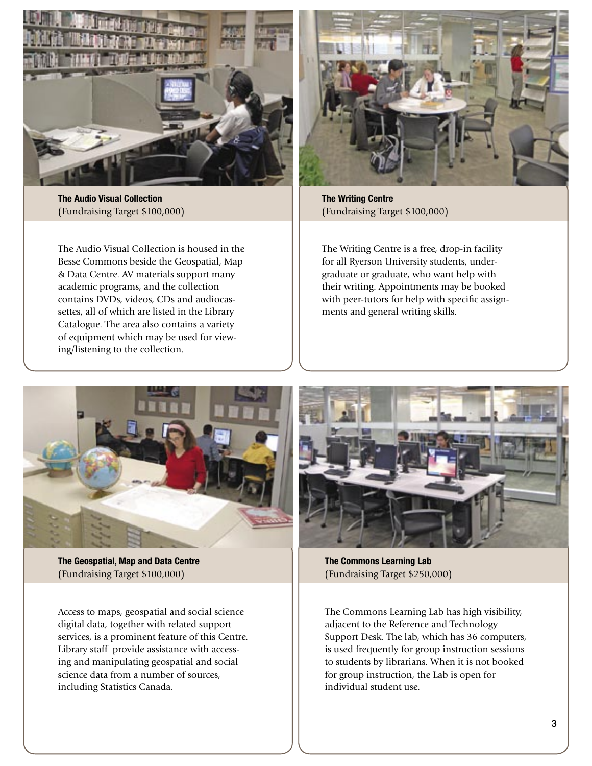

**The Audio Visual Collection** (Fundraising Target \$100,000)

The Audio Visual Collection is housed in the Besse Commons beside the Geospatial, Map & Data Centre. AV materials support many academic programs, and the collection contains DVDs, videos, CDs and audiocassettes, all of which are listed in the Library Catalogue. The area also contains a variety of equipment which may be used for viewing/listening to the collection.



**The Writing Centre** (Fundraising Target \$100,000)

The Writing Centre is a free, drop-in facility for all Ryerson University students, undergraduate or graduate, who want help with their writing. Appointments may be booked with peer-tutors for help with specific assignments and general writing skills.



**The Geospatial, Map and Data Centre** (Fundraising Target \$100,000)

Access to maps, geospatial and social science digital data, together with related support services, is a prominent feature of this Centre. Library staff provide assistance with accessing and manipulating geospatial and social science data from a number of sources, including Statistics Canada.



**The Commons Learning Lab** (Fundraising Target \$250,000)

The Commons Learning Lab has high visibility, adjacent to the Reference and Technology Support Desk. The lab, which has 36 computers, is used frequently for group instruction sessions to students by librarians. When it is not booked for group instruction, the Lab is open for individual student use.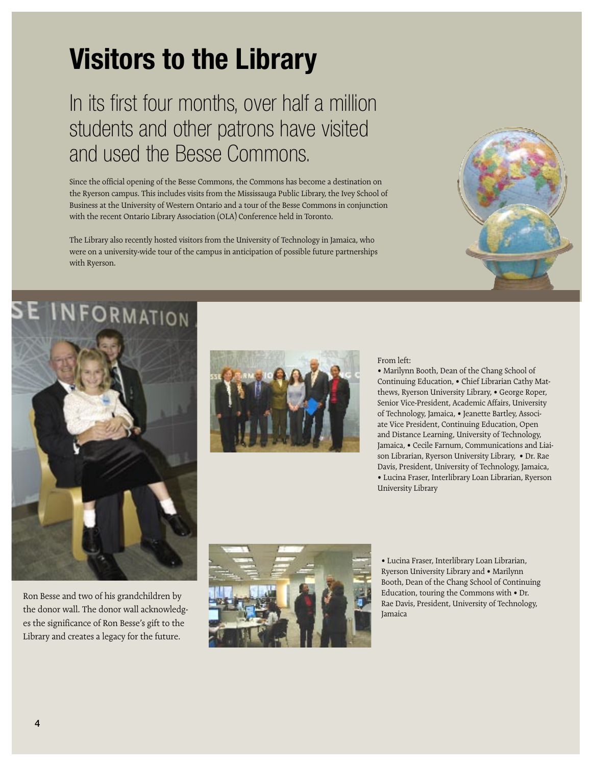## **Visitors to the Library**

## In its first four months, over half a million students and other patrons have visited and used the Besse Commons.

Since the official opening of the Besse Commons, the Commons has become a destination on the Ryerson campus. This includes visits from the Mississauga Public Library, the Ivey School of Business at the University of Western Ontario and a tour of the Besse Commons in conjunction with the recent Ontario Library Association (OLA) Conference held in Toronto.

The Library also recently hosted visitors from the University of Technology in Jamaica, who were on a university-wide tour of the campus in anticipation of possible future partnerships with Ryerson.









#### From left:

• Marilynn Booth, Dean of the Chang School of Continuing Education, • Chief Librarian Cathy Matthews, Ryerson University Library, • George Roper, Senior Vice-President, Academic Affairs, University of Technology, Jamaica, • Jeanette Bartley, Associate Vice President, Continuing Education, Open and Distance Learning, University of Technology, Jamaica, • Cecile Farnum, Communications and Liaison Librarian, Ryerson University Library, • Dr. Rae Davis, President, University of Technology, Jamaica, • Lucina Fraser, Interlibrary Loan Librarian, Ryerson University Library

Ron Besse and two of his grandchildren by the donor wall. The donor wall acknowledges the significance of Ron Besse's gift to the Library and creates a legacy for the future.



• Lucina Fraser, Interlibrary Loan Librarian, Ryerson University Library and • Marilynn Booth, Dean of the Chang School of Continuing Education, touring the Commons with • Dr. Rae Davis, President, University of Technology, Jamaica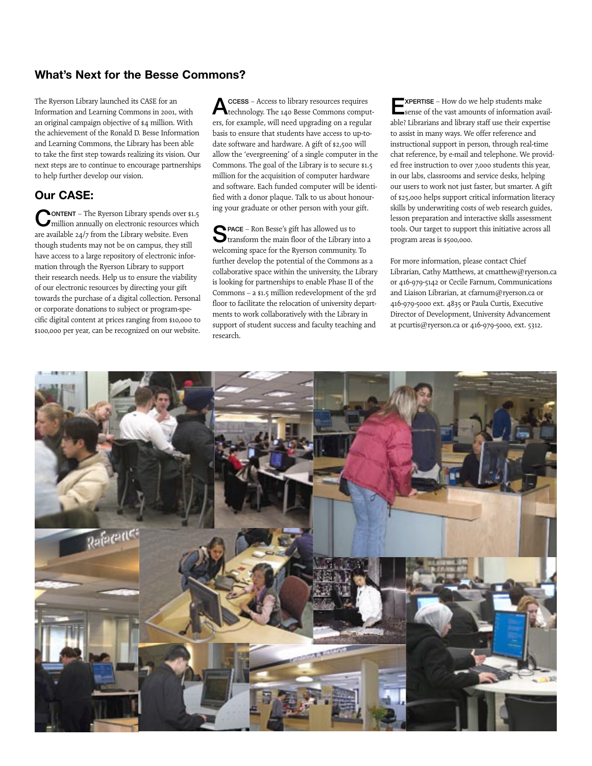#### **What's Next for the Besse Commons?**

The Ryerson Library launched its CASE for an Information and Learning Commons in 2001, with an original campaign objective of \$4 million. With the achievement of the Ronald D. Besse Information and Learning Commons, the Library has been able to take the first step towards realizing its vision. Our next steps are to continue to encourage partnerships to help further develop our vision.

#### **Our CASE:**

CONTENT – The Ryerson Library spends over \$1.5 million annually on electronic resources which are available 24/7 from the Library website. Even though students may not be on campus, they still have access to a large repository of electronic information through the Ryerson Library to support their research needs. Help us to ensure the viability of our electronic resources by directing your gift towards the purchase of a digital collection. Personal or corporate donations to subject or program-specific digital content at prices ranging from \$10,000 to \$100,000 per year, can be recognized on our website.

ACCESS - Access to library resources requires<br>Atechnology. The 140 Besse Commons computers, for example, will need upgrading on a regular basis to ensure that students have access to up-todate software and hardware. A gift of \$2,500 will allow the 'evergreening' of a single computer in the Commons. The goal of the Library is to secure \$1.5 million for the acquisition of computer hardware and software. Each funded computer will be identified with a donor plaque. Talk to us about honouring your graduate or other person with your gift.

SPACE – Ron Besse's gift has allowed us to transform the main floor of the Library into a welcoming space for the Ryerson community. To further develop the potential of the Commons as a collaborative space within the university, the Library is looking for partnerships to enable Phase II of the Commons – a \$1.5 million redevelopment of the 3rd floor to facilitate the relocation of university departments to work collaboratively with the Library in support of student success and faculty teaching and research.

**EXPERTISE** – How do we help students make sense of the vast amounts of information available? Librarians and library staff use their expertise to assist in many ways. We offer reference and instructional support in person, through real-time chat reference, by e-mail and telephone. We provided free instruction to over 7,000 students this year, in our labs, classrooms and service desks, helping our users to work not just faster, but smarter. A gift of \$25,000 helps support critical information literacy skills by underwriting costs of web research guides, lesson preparation and interactive skills assessment tools. Our target to support this initiative across all program areas is \$500,000.

For more information, please contact Chief Librarian, Cathy Matthews, at cmatthew@ryerson.ca or 416-979-5142 or Cecile Farnum, Communications and Liaison Librarian, at cfarnum@ryerson.ca or 416-979-5000 ext. 4835 or Paula Curtis, Executive Director of Development, University Advancement at pcurtis@ryerson.ca or 416-979-5000, ext. 5312.